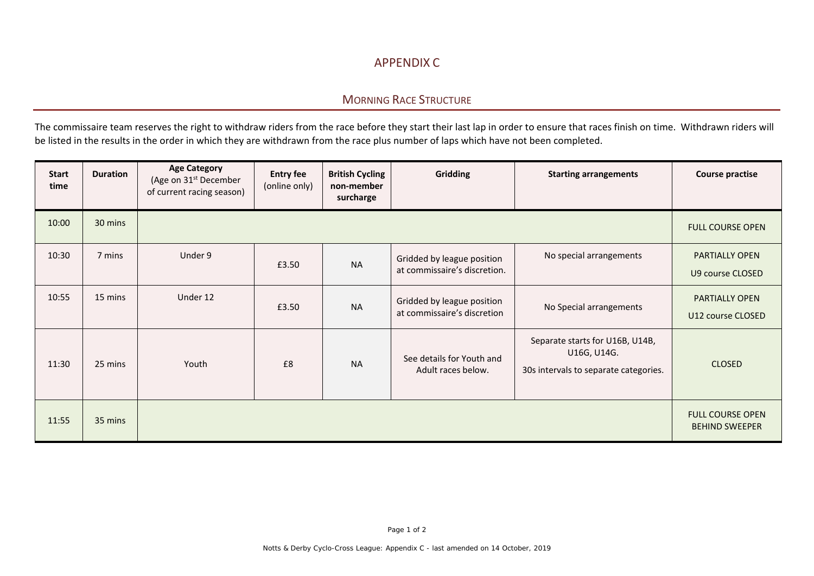## APPENDIX C

## MORNING RACE STRUCTURE

The commissaire team reserves the right to withdraw riders from the race before they start their last lap in order to ensure that races finish on time. Withdrawn riders will be listed in the results in the order in which they are withdrawn from the race plus number of laps which have not been completed.

| <b>Start</b><br>time | <b>Duration</b> | <b>Age Category</b><br>(Age on 31 <sup>st</sup> December<br>of current racing season) | <b>Entry fee</b><br>(online only) | <b>British Cycling</b><br>non-member<br>surcharge | <b>Gridding</b>                                            | <b>Starting arrangements</b>                                                            | <b>Course practise</b>                           |
|----------------------|-----------------|---------------------------------------------------------------------------------------|-----------------------------------|---------------------------------------------------|------------------------------------------------------------|-----------------------------------------------------------------------------------------|--------------------------------------------------|
| 10:00                | 30 mins         |                                                                                       |                                   |                                                   |                                                            |                                                                                         | <b>FULL COURSE OPEN</b>                          |
| 10:30                | 7 mins          | Under 9                                                                               | £3.50                             | <b>NA</b>                                         | Gridded by league position<br>at commissaire's discretion. | No special arrangements                                                                 | <b>PARTIALLY OPEN</b><br>U9 course CLOSED        |
| 10:55                | 15 mins         | Under 12                                                                              | £3.50                             | <b>NA</b>                                         | Gridded by league position<br>at commissaire's discretion  | No Special arrangements                                                                 | <b>PARTIALLY OPEN</b><br>U12 course CLOSED       |
| 11:30                | 25 mins         | Youth                                                                                 | £8                                | <b>NA</b>                                         | See details for Youth and<br>Adult races below.            | Separate starts for U16B, U14B,<br>U16G, U14G.<br>30s intervals to separate categories. | <b>CLOSED</b>                                    |
| 11:55                | 35 mins         |                                                                                       |                                   |                                                   |                                                            |                                                                                         | <b>FULL COURSE OPEN</b><br><b>BEHIND SWEEPER</b> |